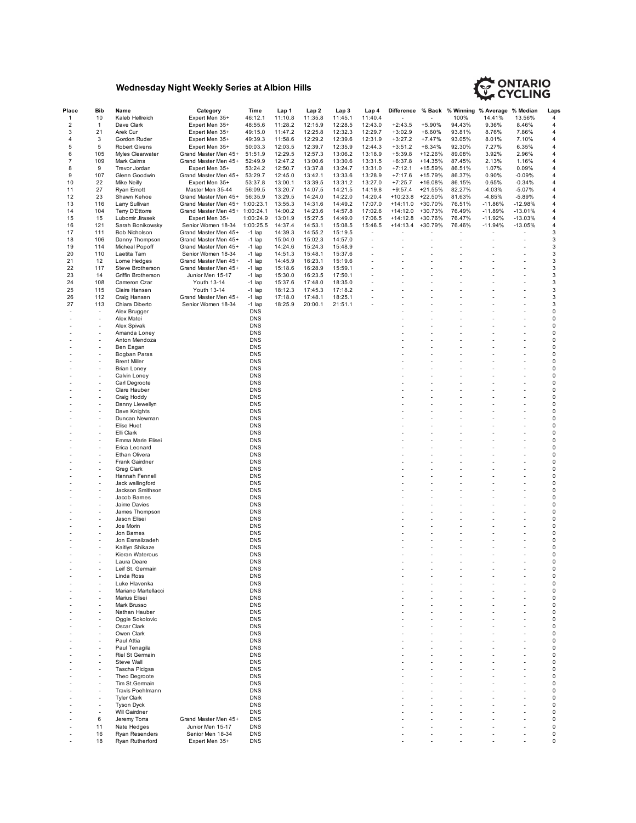## **Wednesday Night Weekly Series at Albion Hills**



| Place       | Bib                      | Name                 | Category                       | Time       | Lap 1   | Lap 2   | Lap 3   | Lap 4          | <b>Difference</b> |          |        | % Back % Winning % Average % Median |           | Laps        |
|-------------|--------------------------|----------------------|--------------------------------|------------|---------|---------|---------|----------------|-------------------|----------|--------|-------------------------------------|-----------|-------------|
| 1           | 10                       | Kaleb Hellreich      | Expert Men 35+                 | 46:12.1    | 11:10.8 | 11:35.8 | 11:45.1 | 11:40.4        |                   |          | 100%   | 14.41%                              | 13.56%    | 4           |
| $\mathbf 2$ | 1                        | Dave Clark           | Expert Men 35+                 | 48:55.6    | 11:28.2 | 12:15.9 | 12:28.5 | 12:43.0        | $+2:43.5$         | $+5.90%$ | 94.43% | 9.36%                               | 8.46%     | 4           |
| 3           | 21                       | Arek Cur             | Expert Men 35+                 | 49:15.0    | 11:47.2 | 12:25.8 | 12:32.3 | 12:29.7        | $+3:02.9$         | $+6.60%$ | 93.81% | 8.76%                               | 7.86%     | 4           |
| 4           | 3                        | Gordon Ruder         | Expert Men 35+                 | 49:39.3    | 11:58.6 | 12:29.2 | 12:39.6 | 12:31.9        | $+3:27.2$         | $+7.47%$ | 93.05% | 8.01%                               | 7.10%     | 4           |
| 5           | 5                        | <b>Robert Givens</b> | Expert Men 35+                 | 50:03.3    | 12:03.5 | 12:39.7 | 12:35.9 | 12:44.3        | $+3:51.2$         | $+8.34%$ | 92.30% | 7.27%                               | 6.35%     | 4           |
| 6           | 105                      | Myles Clearwater     | Grand Master Men 45+           | 51:51.9    | 12:29.5 | 12:57.3 | 13:06.2 | 13:18.9        | $+5:39.8$         | +12.26%  | 89.08% | 3.92%                               | 2.96%     | 4           |
| 7           | 109                      | Mark Caims           | Grand Master Men 45+           | 52:49.9    | 12:47.2 | 13:00.6 | 13:30.6 | 13:31.5        | $+6:37.8$         | +14.35%  | 87.45% | 2.13%                               | 1.16%     | 4           |
|             | 9                        |                      |                                |            |         |         | 13:24.7 |                |                   |          |        |                                     |           |             |
| 8           |                          | Trevor Jordan        | Expert Men 35+                 | 53:24.2    | 12:50.7 | 13:37.8 |         | 13:31.0        | $+7:12.1$         | +15.59%  | 86.51% | 1.07%                               | 0.09%     | 4           |
| 9           | 107                      | Glenn Goodwin        | Grand Master Men 45+           | 53:29.7    | 12:45.0 | 13:42.1 | 13:33.6 | 13:28.9        | $+7:17.6$         | +15.79%  | 86.37% | 0.90%                               | $-0.09%$  | 4           |
| 10          | 22                       | Mike Neilly          | Expert Men 35+                 | 53:37.8    | 13:00.1 | 13:39.5 | 13:31.2 | 13:27.0        | $+7:25.7$         | +16.08%  | 86.15% | 0.65%                               | $-0.34%$  | 4           |
| 11          | 27                       | Ryan Emott           | Master Men 35-44               | 56:09.5    | 13:20.7 | 14:07.5 | 14:21.5 | 14:19.8        | $+9:57.4$         | +21.55%  | 82.27% | -4.03%                              | $-5.07%$  | 4           |
| 12          | 23                       | Shawn Kehoe          | Grand Master Men 45+           | 56:35.9    | 13:29.5 | 14:24.0 | 14:22.0 | 14:20.4        | $+10:23.8$        | +22.50%  | 81.63% | -4.85%                              | $-5.89%$  | 4           |
| 13          | 116                      | Larry Sullivan       | Grand Master Men 45+ 1:00:23.1 |            | 13:55.3 | 14:31.6 | 14:49.2 | 17:07.0        | $+14:11.0$        | +30.70%  | 76.51% | $-11.86%$                           | $-12.98%$ | 4           |
| 14          | 104                      | Terry D'Ettorre      | Grand Master Men 45+           | 1:00:24.1  | 14:00.2 | 14:23.6 | 14:57.8 | 17:02.6        | $+14:12.0$        | +30.73%  | 76.49% | $-11.89%$                           | $-13.01%$ | 4           |
| 15          | 15                       | Lubomir Jirasek      | Expert Men 35+                 | 1:00:24.9  | 13:01.9 | 15:27.5 | 14:49.0 | 17:06.5        | $+14:12.8$        | +30.76%  | 76.47% | $-11.92%$                           | $-13.03%$ | 4           |
| 16          | 121                      | Sarah Bonikowsky     | Senior Women 18-34             | 1:00:25.5  | 14:37.4 | 14:53.1 | 15:08.5 | 15:46.5        | $+14:13.4$        | +30.79%  | 76.46% | $-11.94%$                           | $-13.05%$ | 4           |
| 17          | 111                      | Bob Nicholson        | Grand Master Men 45+           | $-1$ lap   | 14:39.3 | 14:55.2 | 15:19.5 |                |                   |          |        |                                     |           | 3           |
| 18          | 106                      | Danny Thompson       | Grand Master Men 45+           | $-1$ lap   | 15:04.0 | 15:02.3 | 14:57.0 | $\overline{a}$ |                   |          |        |                                     |           | 3           |
| 19          | 114                      | Micheal Popoff       | Grand Master Men 45+           | $-1$ lap   | 14:24.6 | 15:24.3 | 15:48.9 |                |                   |          |        |                                     |           | 3           |
| 20          | 110                      | Laetita Tam          | Senior Women 18-34             | $-1$ lap   | 14:51.3 | 15:48.1 | 15:37.6 |                |                   |          |        |                                     |           | 3           |
| 21          | 12                       | Lorne Hedges         | Grand Master Men 45+           | $-1$ lap   | 14:45.9 | 16:23.1 | 15:19.6 |                |                   |          |        |                                     |           | 3           |
| 22          | 117                      | Steve Brotherson     | Grand Master Men 45+           | $-1$ lap   | 15:18.6 | 16:28.9 | 15:59.1 |                |                   |          |        |                                     |           | 3           |
| 23          | 14                       | Griffin Brotherson   | Junior Men 15-17               | $-1$ lap   | 15:30.0 | 16:23.5 | 17:50.1 |                |                   |          |        |                                     |           | 3           |
| 24          | 108                      | Cameron Czar         | Youth 13-14                    | $-1$ lap   | 15:37.6 | 17:48.0 | 18:35.0 |                |                   |          |        |                                     |           | 3           |
| 25          | 115                      | Claire Hansen        | Youth 13-14                    | $-1$ lap   | 18:12.3 | 17:45.3 | 17:18.2 |                |                   |          |        |                                     |           | 3           |
| 26          | 112                      | Craig Hansen         | Grand Master Men 45+           | $-1$ lap   | 17:18.0 | 17:48.1 | 18:25.1 |                |                   |          |        |                                     |           | 3           |
| 27          | 113                      | Chiara Diberto       | Senior Women 18-34             | $-1$ lap   | 18:25.9 | 20:00.1 | 21:51.1 |                |                   |          |        |                                     |           | 3           |
|             |                          |                      |                                |            |         |         |         |                |                   |          |        |                                     |           |             |
|             | $\overline{\phantom{a}}$ | Alex Brugger         |                                | <b>DNS</b> |         |         |         |                |                   |          |        |                                     |           | 0           |
|             | $\overline{a}$           | Alex Matei           |                                | <b>DNS</b> |         |         |         |                |                   |          |        |                                     |           | 0           |
|             | L,                       | Alex Spivak          |                                | <b>DNS</b> |         |         |         |                |                   |          |        |                                     |           | 0           |
|             |                          | Amanda Loney         |                                | <b>DNS</b> |         |         |         |                |                   |          |        |                                     |           | 0           |
|             | $\overline{a}$           | Anton Mendoza        |                                | <b>DNS</b> |         |         |         |                |                   |          |        |                                     |           | 0           |
|             |                          | Ben Eagan            |                                | <b>DNS</b> |         |         |         |                |                   |          |        |                                     |           | 0           |
|             | $\overline{a}$           | Bogban Paras         |                                | <b>DNS</b> |         |         |         |                |                   |          |        |                                     |           | 0           |
|             |                          | <b>Brent Miller</b>  |                                | <b>DNS</b> |         |         |         |                |                   |          |        |                                     |           | $\pmb{0}$   |
|             |                          | <b>Brian Loney</b>   |                                | <b>DNS</b> |         |         |         |                |                   |          |        |                                     |           | 0           |
|             | $\overline{a}$           | Calvin Loney         |                                | <b>DNS</b> |         |         |         |                |                   |          |        |                                     |           | 0           |
|             |                          | Carl Degroote        |                                | <b>DNS</b> |         |         |         |                |                   |          |        |                                     |           | 0           |
|             |                          |                      |                                |            |         |         |         |                |                   |          |        |                                     |           | 0           |
|             |                          | Clare Hauber         |                                | <b>DNS</b> |         |         |         |                |                   |          |        |                                     |           |             |
|             | $\overline{a}$           | Craig Hoddy          |                                | <b>DNS</b> |         |         |         |                |                   |          |        |                                     |           | 0           |
|             |                          | Danny Llewellyn      |                                | <b>DNS</b> |         |         |         |                |                   |          |        |                                     |           | 0           |
|             |                          | Dave Knights         |                                | <b>DNS</b> |         |         |         |                |                   |          |        |                                     |           | 0           |
|             | $\overline{a}$           | Duncan Newman        |                                | <b>DNS</b> |         |         |         |                |                   |          |        |                                     |           | 0           |
|             | $\overline{\phantom{a}}$ | Elise Huet           |                                | <b>DNS</b> |         |         |         |                |                   |          |        |                                     |           | 0           |
|             | ÷,                       | Elli Clark           |                                | <b>DNS</b> |         |         |         |                |                   |          |        |                                     |           | 0           |
|             |                          | Emma Marie Elisei    |                                | <b>DNS</b> |         |         |         |                |                   |          |        |                                     |           | 0           |
|             | ÷,                       | Erica Leonard        |                                | <b>DNS</b> |         |         |         |                |                   |          |        |                                     |           | 0           |
|             |                          | Ethan Olivera        |                                | <b>DNS</b> |         |         |         |                |                   |          |        |                                     |           | 0           |
|             |                          | Frank Gairdner       |                                | <b>DNS</b> |         |         |         |                |                   |          |        |                                     |           | $\pmb{0}$   |
|             |                          | Greg Clark           |                                | <b>DNS</b> |         |         |         |                |                   |          |        |                                     |           | 0           |
|             | ÷,                       | Hannah Fennell       |                                | <b>DNS</b> |         |         |         |                |                   |          |        |                                     |           | 0           |
|             | $\overline{a}$           | Jack wallingford     |                                | <b>DNS</b> |         |         |         |                |                   |          |        |                                     |           | 0           |
|             |                          | Jackson Smithson     |                                | <b>DNS</b> |         |         |         |                |                   |          |        |                                     |           | 0           |
|             | $\overline{\phantom{a}}$ | Jacob Barnes         |                                | <b>DNS</b> |         |         |         |                |                   |          |        |                                     |           | 0           |
|             |                          |                      |                                | <b>DNS</b> |         |         |         |                |                   |          |        |                                     |           | 0           |
|             |                          | Jaime Davies         |                                |            |         |         |         |                |                   |          |        |                                     |           |             |
|             |                          | James Thompson       |                                | <b>DNS</b> |         |         |         |                |                   |          |        |                                     |           | 0           |
|             | L,                       | Jason Elisei         |                                | <b>DNS</b> |         |         |         |                |                   |          |        |                                     |           | 0           |
|             |                          | Joe Morin            |                                | <b>DNS</b> |         |         |         |                |                   |          |        |                                     |           | 0           |
|             |                          | Jon Barnes           |                                | <b>DNS</b> |         |         |         |                |                   |          |        |                                     |           | 0           |
|             |                          | Jon Esmailzadeh      |                                | <b>DNS</b> |         |         |         |                |                   |          |        |                                     |           | 0           |
|             |                          | Kaitlyn Shikaze      |                                | <b>DNS</b> |         |         |         |                |                   |          |        |                                     |           | 0           |
|             |                          | Kieran Waterous      |                                | <b>DNS</b> |         |         |         |                |                   |          |        |                                     |           | 0           |
|             |                          | Laura Deare          |                                | <b>DNS</b> |         |         |         |                |                   |          |        |                                     |           | 0           |
|             |                          | Leif St. Germain     |                                | <b>DNS</b> |         |         |         |                |                   |          |        |                                     |           | 0           |
|             | $\overline{\phantom{a}}$ | Linda Ross           |                                | <b>DNS</b> |         |         |         |                |                   |          |        |                                     |           | 0           |
|             | $\overline{\phantom{a}}$ | Luke Hlavenka        |                                | <b>DNS</b> |         |         |         |                |                   |          |        |                                     |           | $\pmb{0}$   |
|             | $\overline{\phantom{a}}$ | Mariano Martellacci  |                                | <b>DNS</b> |         |         |         |                |                   |          |        |                                     |           | $\pmb{0}$   |
|             | $\overline{\phantom{a}}$ | Marius Elisei        |                                | <b>DNS</b> |         |         |         |                |                   |          |        |                                     |           | $\pmb{0}$   |
|             | L,                       | Mark Brusso          |                                | <b>DNS</b> |         |         |         |                |                   |          |        |                                     |           | $\mathbf 0$ |
|             | $\overline{a}$           | Nathan Hauber        |                                | <b>DNS</b> |         |         |         |                |                   |          |        |                                     |           | $\pmb{0}$   |
|             | $\overline{\phantom{a}}$ | Oggie Sokolovic      |                                | <b>DNS</b> |         |         |         |                |                   |          |        |                                     |           | $\pmb{0}$   |
|             | ÷,                       | Oscar Clark          |                                | <b>DNS</b> |         |         |         |                |                   |          |        |                                     |           | 0           |
|             | $\overline{\phantom{a}}$ | Owen Clark           |                                | <b>DNS</b> |         |         |         |                |                   |          |        |                                     |           | 0           |
|             |                          | Paul Attia           |                                | <b>DNS</b> |         |         |         |                |                   |          |        |                                     |           | $\pmb{0}$   |
|             |                          |                      |                                |            |         |         |         |                |                   |          |        |                                     |           |             |
|             |                          | Paul Tenagila        |                                | <b>DNS</b> |         |         |         |                |                   |          |        |                                     |           | $\pmb{0}$   |
|             | $\overline{\phantom{a}}$ | Riel St Germain      |                                | <b>DNS</b> |         |         |         |                |                   |          |        |                                     |           | $\pmb{0}$   |
|             |                          | Steve Wall           |                                | <b>DNS</b> |         |         |         |                |                   |          |        |                                     |           | $\pmb{0}$   |
|             | $\overline{a}$           | Tascha Picigsa       |                                | <b>DNS</b> |         |         |         |                |                   |          |        |                                     |           | 0           |
|             | $\overline{a}$           | Theo Degroote        |                                | <b>DNS</b> |         |         |         |                |                   |          |        |                                     |           | 0           |
|             |                          | Tim St.Germain       |                                | <b>DNS</b> |         |         |         |                |                   |          |        |                                     |           | 0           |
|             | ٠                        | Travis Poehlmann     |                                | <b>DNS</b> |         |         |         |                |                   |          |        |                                     |           | $\pmb{0}$   |
|             |                          | <b>Tyler Clark</b>   |                                | <b>DNS</b> |         |         |         |                |                   |          |        |                                     |           | 0           |
|             | $\overline{a}$           | <b>Tyson Dyck</b>    |                                | <b>DNS</b> |         |         |         |                |                   |          |        |                                     |           | $\pmb{0}$   |
|             | $\overline{a}$           | Will Gairdner        |                                | <b>DNS</b> |         |         |         |                |                   |          |        |                                     |           | 0           |
|             | 6                        | Jeremy Torra         | Grand Master Men 45+           | <b>DNS</b> |         |         |         |                |                   |          |        |                                     |           | 0           |
|             |                          |                      |                                |            |         |         |         |                |                   |          |        |                                     |           |             |
|             | 11                       | Nate Hedges          | Junior Men 15-17               | <b>DNS</b> |         |         |         |                |                   |          |        |                                     |           | $\mathbf 0$ |
|             | 16                       | Ryan Resenders       | Senior Men 18-34               | <b>DNS</b> |         |         |         |                |                   |          |        |                                     |           | 0           |
|             | 18                       | Ryan Rutherford      | Expert Men 35+                 | <b>DNS</b> |         |         |         |                |                   |          |        |                                     |           | 0           |